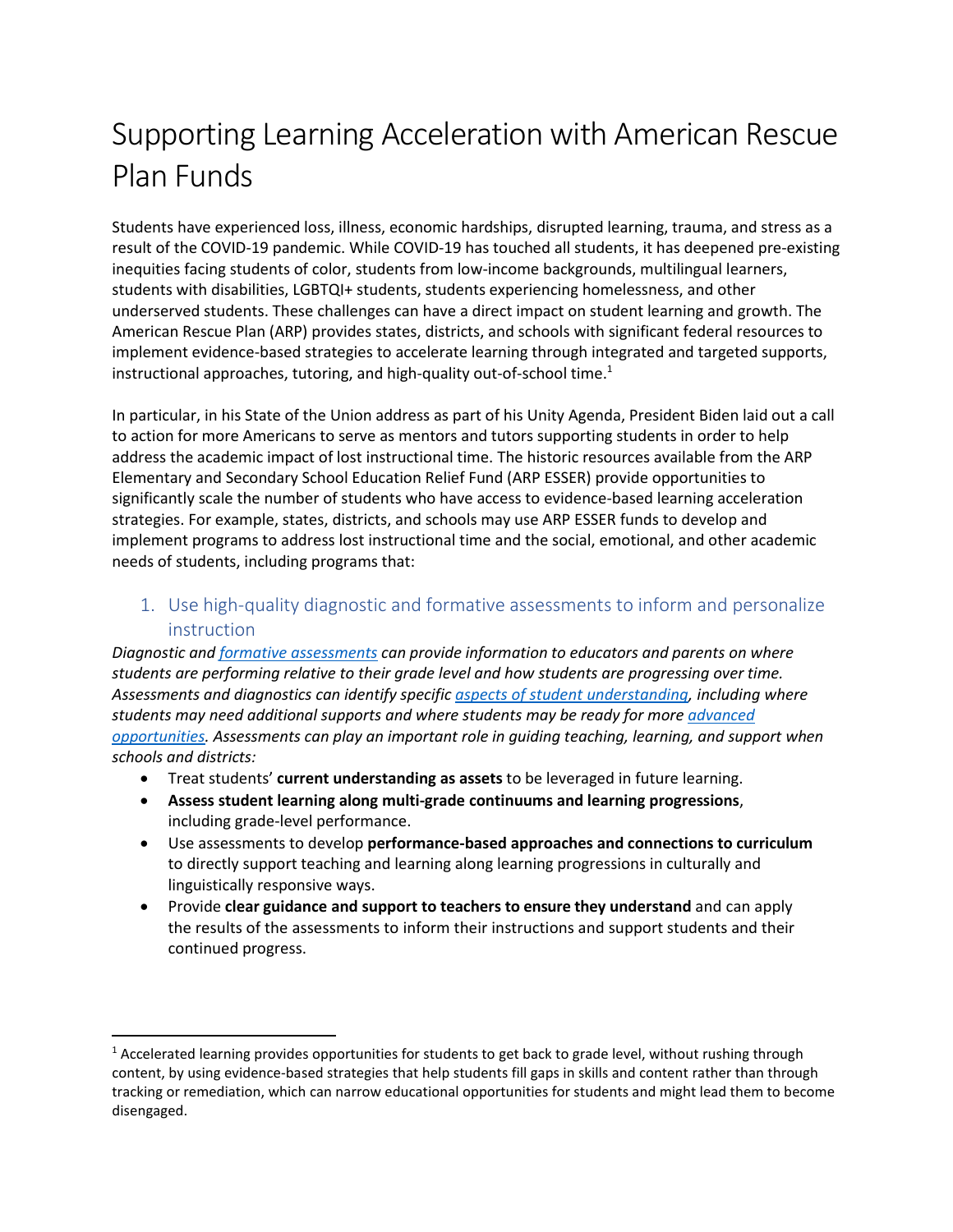# Supporting Learning Acceleration with American Rescue Plan Funds

Students have experienced loss, illness, economic hardships, disrupted learning, trauma, and stress as a result of the COVID-19 pandemic. While COVID-19 has touched all students, it has deepened pre-existing inequities facing students of color, students from low-income backgrounds, multilingual learners, students with disabilities, LGBTQI+ students, students experiencing homelessness, and other underserved students. These challenges can have a direct impact on student learning and growth. The American Rescue Plan (ARP) provides states, districts, and schools with significant federal resources to implement evidence-based strategies to accelerate learning through integrated and targeted supports, instructional approaches, tutoring, and high-quality out-of-school time.<sup>1</sup>

In particular, in his State of the Union address as part of his Unity Agenda, President Biden laid out a call to action for more Americans to serve as mentors and tutors supporting students in order to help address the academic impact of lost instructional time. The historic resources available from the ARP Elementary and Secondary School Education Relief Fund (ARP ESSER) provide opportunities to significantly scale the number of students who have access to evidence-based learning acceleration strategies. For example, states, districts, and schools may use ARP ESSER funds to develop and implement programs to address lost instructional time and the social, emotional, and other academic needs of students, including programs that:

1. Use high-quality diagnostic and formative assessments to inform and personalize instruction

*Diagnostic and formative [assessments](https://ccsso.org/resource-library/revising-definition-formative-assessment) can provide information to educators and parents on where students are performing relative to their grade level and how students are progressing over time. Assessments and diagnostics can identify specific [aspects of student understanding,](http://stemteachingtools.org/brief/37) including where students may need additional supports and where students may be ready for more [advanced](https://edtrust.org/resource/inequities-in-advanced-coursework/)  [opportunities.](https://edtrust.org/resource/inequities-in-advanced-coursework/) Assessments can play an important role in guiding teaching, learning, and support when schools and districts:*

- Treat students' **current understanding as assets** to be leveraged in future learning.
- **Assess student learning along multi-grade continuums and learning progressions**, including grade-level performance.
- Use assessments to develop **performance-based approaches and connections to curriculum** to directly support teaching and learning along learning progressions in culturally and linguistically responsive ways.
- Provide **clear guidance and support to teachers to ensure they understand** and can apply the results of the assessments to inform their instructions and support students and their continued progress.

 $1$  Accelerated learning provides opportunities for students to get back to grade level, without rushing through content, by using evidence-based strategies that help students fill gaps in skills and content rather than through tracking or remediation, which can narrow educational opportunities for students and might lead them to become disengaged.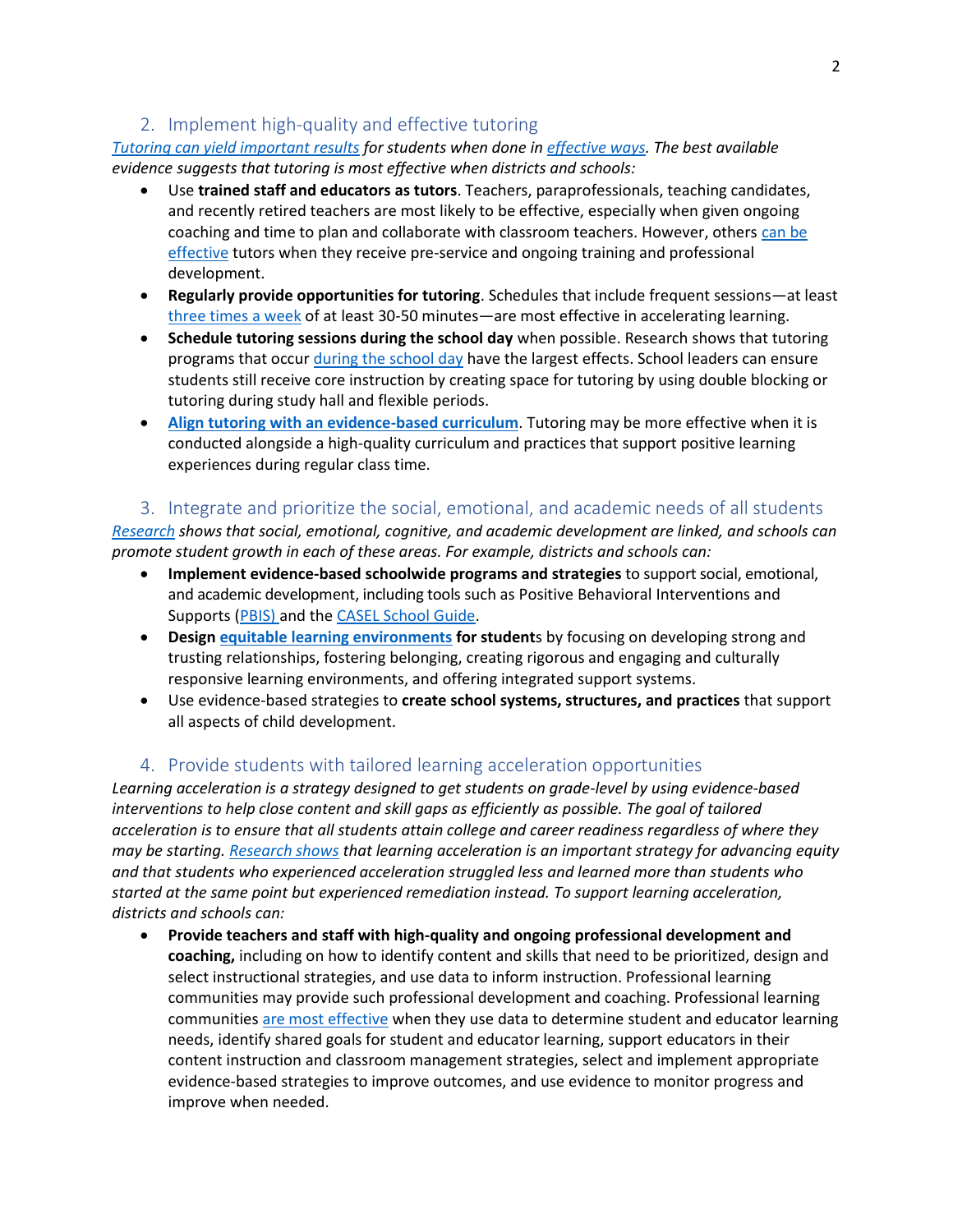## 2. Implement high-quality and effective tutoring

*Tutoring can yield [important results](https://compcenternetwork.org/ccn-products/multimedia/tutoring-programs/#/) for students when done in [effective](https://proventutoring.org/sea-resources-for-arp-esser-funding/) ways. The best available evidence suggests that tutoring is most effective when districts and schools:*

- Use **trained staff and educators as tutors**. Teachers, paraprofessionals, teaching candidates, and recently retired teachers are most likely to be effective, especially when given ongoing coaching and time to plan and collaborate with classroom teachers. However, others [can be](https://edtrust.org/strategies-to-solve-unfinished-learning/)  [effective](https://edtrust.org/strategies-to-solve-unfinished-learning/) tutors when they receive pre-service and ongoing training and professional development.
- **Regularly provide opportunities for tutoring**. Schedules that include frequent sessions—at least [three times a week](https://annenberg.brown.edu/sites/default/files/EdResearch_for_Recovery_Design_Principles_1.pdf) of at least 30-50 minutes—are most effective in accelerating learning.
- **Schedule tutoring sessions during the school day** when possible. Research shows that tutoring programs that occur [during the school day](https://www.nber.org/system/files/working_papers/w27476/w27476.pdf) have the largest effects. School leaders can ensure students still receive core instruction by creating space for tutoring by using double blocking or tutoring during study hall and flexible periods.
- **[Align tutoring with an evidence-based curriculum](https://files.eric.ed.gov/fulltext/ED606086.pdf)**. Tutoring may be more effective when it is conducted alongside a high-quality curriculum and practices that support positive learning experiences during regular class time.

3. Integrate and prioritize the social, emotional, and academic needs of all students

*[Research](https://srcd.onlinelibrary.wiley.com/doi/pdfdirect/10.1111/j.1467-8624.2010.01564.x) shows that social, emotional, cognitive, and academic development are linked, and schools can promote student growth in each of these areas. For example, districts and schools can:*

- **Implement evidence-based schoolwide programs and strategies** to support social, emotional, and academic development, including tools such as Positive Behavioral Interventions and Supports [\(PBIS\)](https://www.pbis.org/) and the [CASEL School Guide.](https://schoolguide.casel.org/)
- **Design [equitable learning environments](https://turnaroundusa.org/design-principles/) for student**s by focusing on developing strong and trusting relationships, fostering belonging, creating rigorous and engaging and culturally responsive learning environments, and offering integrated support systems.
- Use evidence-based strategies to **create school systems, structures, and practices** that support all aspects of child development.

### 4. Provide students with tailored learning acceleration opportunities

*Learning acceleration is a strategy designed to get students on grade-level by using evidence-based interventions to help close content and skill gaps as efficiently as possible. The goal of tailored acceleration is to ensure that all students attain college and career readiness regardless of where they may be starting. [Research shows](https://tntp.org/publications/view/teacher-training-and-classroom-practice/accelerate-dont-remediate) that learning acceleration is an important strategy for advancing equity and that students who experienced acceleration struggled less and learned more than students who started at the same point but experienced remediation instead. To support learning acceleration, districts and schools can:*

• **Provide teachers and staff with high-quality and ongoing professional development and coaching,** including on how to identify content and skills that need to be prioritized, design and select instructional strategies, and use data to inform instruction. Professional learning communities may provide such professional development and coaching. Professional learning communities are [most effective](https://learningforward.org/standards/learning-communities/) when they use data to determine student and educator learning needs, identify shared goals for student and educator learning, support educators in their content instruction and classroom management strategies, select and implement appropriate evidence-based strategies to improve outcomes, and use evidence to monitor progress and improve when needed.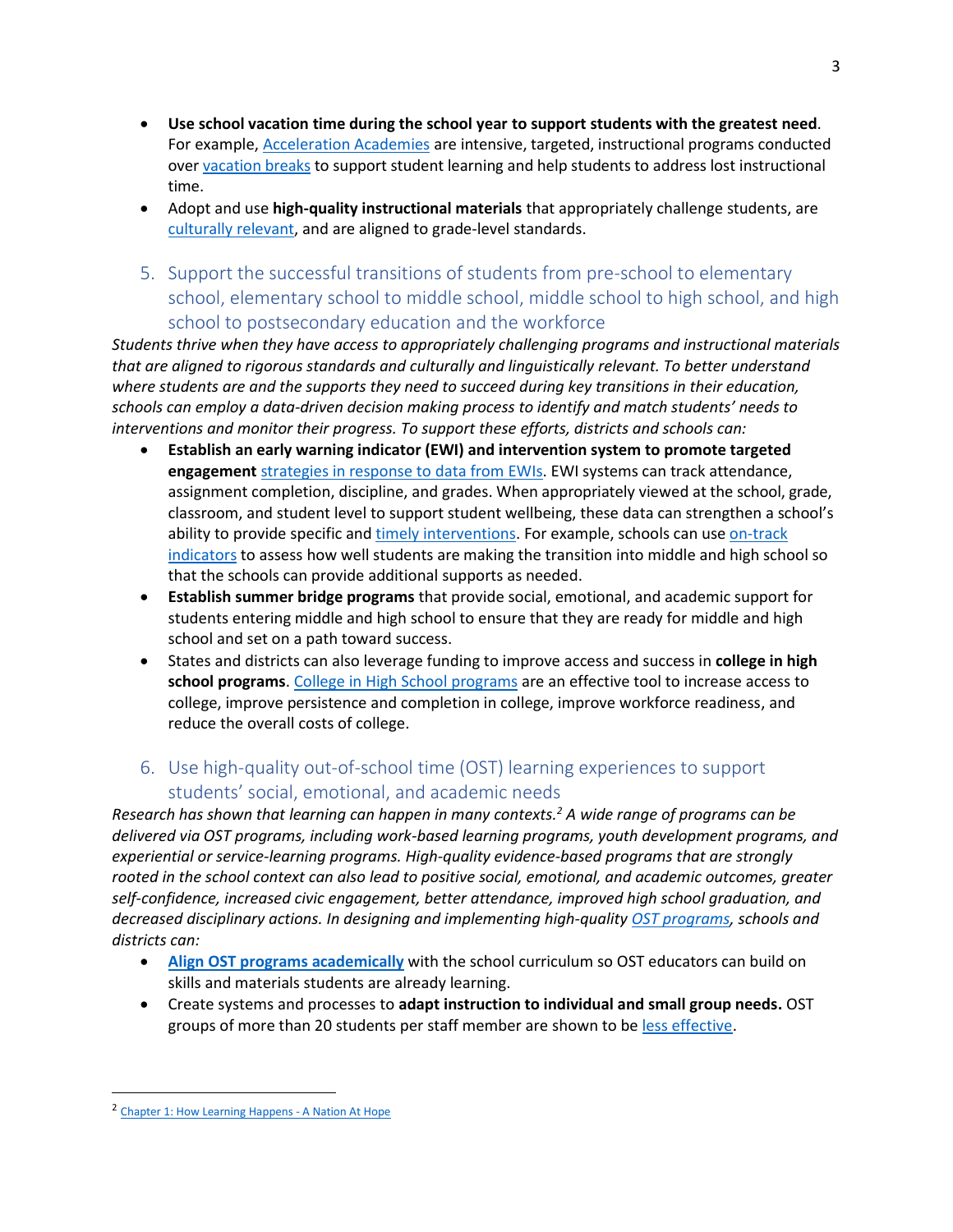- **Use school vacation time during the school year to support students with the greatest need**. For example, [Acceleration](https://journals.sagepub.com/doi/pdf/10.3102/0162373716685824) Academies are intensive, targeted, instructional programs conducted ove[r vacation breaks](https://compcenternetwork.org/resources/resource/7083/vacation-academies-high-power-learning-short-time-blocks) to support student learning and help students to address lost instructional time.
- Adopt and use **high-quality instructional materials** that appropriately challenge students, are [culturally relevant,](https://www.chiefsforchange.org/wp-content/uploads/2019/02/CFC-HonoringOrigins-FINAL.pdf) and are aligned to grade-level standards.
- 5. Support the successful transitions of students from pre-school to elementary school, elementary school to middle school, middle school to high school, and high school to postsecondary education and the workforce

*Students thrive when they have access to appropriately challenging programs and instructional materials that are aligned to rigorous standards and culturally and linguistically relevant. To better understand where students are and the supports they need to succeed during key transitions in their education, schools can employ a data-driven decision making process to identify and match students' needs to interventions and monitor their progress. To support these efforts, districts and schools can:*

- **Establish an early warning indicator (EWI) and intervention system to promote targeted engagement** [strategies](https://files.eric.ed.gov/fulltext/ED566904.pdf) in response to data from EWIs. EWI systems can track attendance, assignment completion, discipline, and grades. When appropriately viewed at the school, grade, classroom, and student level to support student wellbeing, these data can strengthen a school's ability to provide specific and timely [interventions.](https://consortium.uchicago.edu/sites/default/files/2019-02/5788whatmatters-studentfinal.pdf) For example, schools can use [on-track](https://ncs.uchicago.edu/freshman-on-track-toolkit) [indicators](https://ncs.uchicago.edu/freshman-on-track-toolkit) to assess how well students are making the transition into middle and high school so that the schools can provide additional supports as needed.
- **Establish summer bridge programs** that provide social, emotional, and academic support for students entering middle and high school to ensure that they are ready for middle and high school and set on a path toward success.
- States and districts can also leverage funding to improve access and success in **college in high school programs**. [College in High School programs](https://static1.squarespace.com/static/589d0f90ff7c507ac483988e/t/60b679fd547cf55d6b21e37e/1622571518083/CHSA+-+Using+COVID-19+Relief+Funding+to+Support+College+in+High+School+Programs+-+Full+Guidance.pdf) are an effective tool to increase access to college, improve persistence and completion in college, improve workforce readiness, and reduce the overall costs of college.

# 6. Use high-quality out-of-school time (OST) learning experiences to support students' social, emotional, and academic needs

*Research has shown that learning can happen in many contexts.<sup>2</sup> A wide range of programs can be delivered via OST programs, including work-based learning programs, youth development programs, and experiential or service-learning programs. High-quality evidence-based programs that are strongly rooted in the school context can also lead to positive social, emotional, and academic outcomes, greater self-confidence, increased civic engagement, better attendance, improved high school graduation, and decreased disciplinary actions. In designing and implementing high-quality [OST programs,](https://compcenternetwork.org/resources/resource/6980/accelerating-learning-through-summer-and-ost) schools and districts can:*

- **[Align OST programs](https://ies.ed.gov/ncee/wwc/PracticeGuide/10) academically** with the school curriculum so OST educators can build on skills and materials students are already learning.
- Create systems and processes to **adapt instruction to individual and small group needs.** OST groups of more than 20 students per staff member are shown to be [less effective.](https://www.jstor.org/stable/3181549?seq=1)

<sup>&</sup>lt;sup>2</sup> [Chapter 1: How Learning Happens -](http://nationathope.org/report-from-the-nation/chapter-1-how-learning-happens/) A Nation At Hope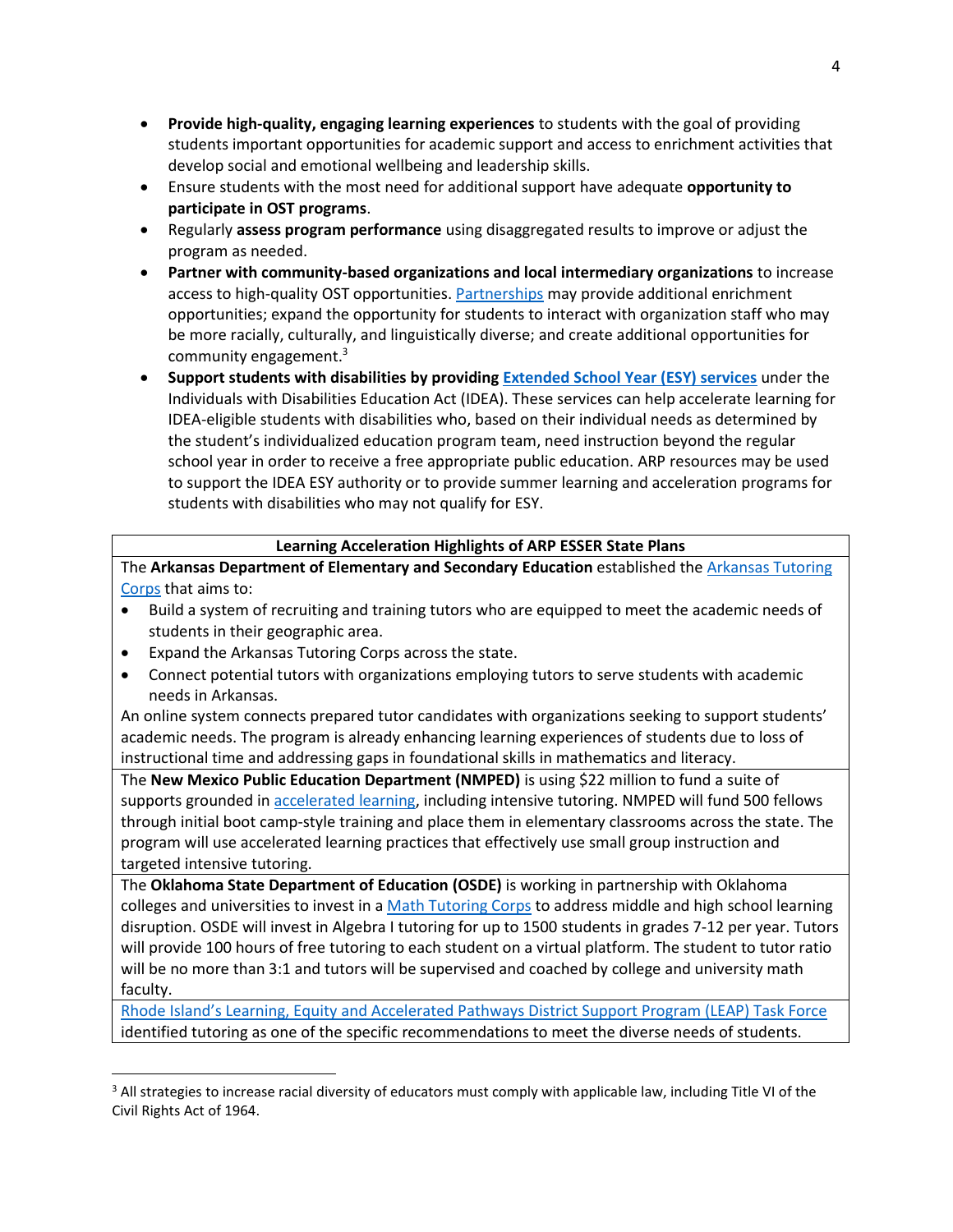- **Provide high-quality, engaging learning experiences** to students with the goal of providing students important opportunities for academic support and access to enrichment activities that develop social and emotional wellbeing and leadership skills.
- Ensure students with the most need for additional support have adequate **opportunity to participate in OST programs**.
- Regularly **assess program performance** using disaggregated results to improve or adjust the program as needed.
- **Partner with community-based organizations and local intermediary organizations** to increase access to high-quality OST opportunitie[s. Partnerships](https://compcenternetwork.org/resources/resource/7045/state-state-summer-and-afterschool-resource-list) may provide additional enrichment opportunities; expand the opportunity for students to interact with organization staff who may be more racially, culturally, and linguistically diverse; and create additional opportunities for community engagement.<sup>3</sup>
- **Support students with disabilities by providing [Extended School Year](https://sites.ed.gov/idea/files/rts-iep-09-30-2021.pdf) (ESY) services** under the Individuals with Disabilities Education Act (IDEA). These services can help accelerate learning for IDEA-eligible students with disabilities who, based on their individual needs as determined by the student's individualized education program team, need instruction beyond the regular school year in order to receive a free appropriate public education. ARP resources may be used to support the IDEA ESY authority or to provide summer learning and acceleration programs for students with disabilities who may not qualify for ESY.

#### **Learning Acceleration Highlights of ARP ESSER State Plans**

The **Arkansas Department of Elementary and Secondary Education** established the [Arkansas Tutoring](https://dese.ade.arkansas.gov/Offices/special-projects/arkansas-tutoring-corps#:~:text=The%20goals%20of%20the%20Arkansas%20Tutoring%20Corps%20are,expand%20the%20Arkansas%20Tutoring%20Corps%20across%20the%20state.)  [Corps](https://dese.ade.arkansas.gov/Offices/special-projects/arkansas-tutoring-corps#:~:text=The%20goals%20of%20the%20Arkansas%20Tutoring%20Corps%20are,expand%20the%20Arkansas%20Tutoring%20Corps%20across%20the%20state.) that aims to:

- Build a system of recruiting and training tutors who are equipped to meet the academic needs of students in their geographic area.
- Expand the Arkansas Tutoring Corps across the state.
- Connect potential tutors with organizations employing tutors to serve students with academic needs in Arkansas.

An online system connects prepared tutor candidates with organizations seeking to support students' academic needs. The program is already enhancing learning experiences of students due to loss of instructional time and addressing gaps in foundational skills in mathematics and literacy.

The **New Mexico Public Education Department (NMPED)** is using \$22 million to fund a suite of supports grounded in [accelerated learning,](https://webnew.ped.state.nm.us/wp-content/uploads/2021/03/NMPED_Academic_Roadmap_2021.pdf) including intensive tutoring. NMPED will fund 500 fellows through initial boot camp-style training and place them in elementary classrooms across the state. The program will use accelerated learning practices that effectively use small group instruction and targeted intensive tutoring.

The **Oklahoma State Department of Education (OSDE)** is working in partnership with Oklahoma colleges and universities to invest in a [Math Tutoring Corps](https://sde.ok.gov/math-tutoring-corps) to address middle and high school learning disruption. OSDE will invest in Algebra I tutoring for up to 1500 students in grades 7-12 per year. Tutors will provide 100 hours of free tutoring to each student on a virtual platform. The student to tutor ratio will be no more than 3:1 and tutors will be supervised and coached by college and university math faculty.

[Rhode Island's Learning, Equity and Accelerated Pathways District Support Program \(LEAP\) Task Force](https://www.ride.ri.gov/InsideRIDE/AdditionalInformation/LEAPTaskForce.aspx) identified tutoring as one of the specific recommendations to meet the diverse needs of students.

<sup>&</sup>lt;sup>3</sup> All strategies to increase racial diversity of educators must comply with applicable law, including Title VI of the Civil Rights Act of 1964.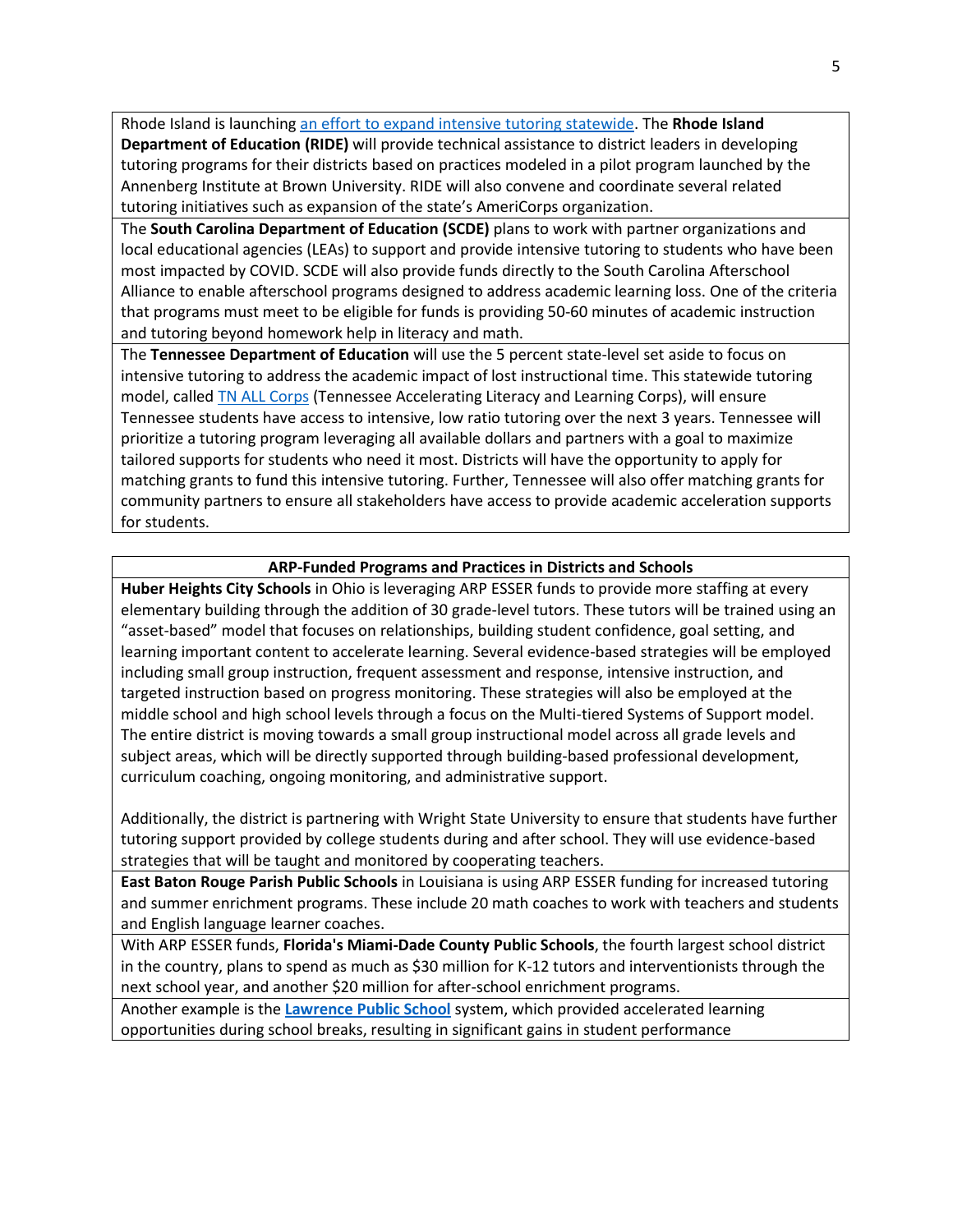Rhode Island is launching [an effort to expand intensive tutoring statewide.](https://www.ride.ri.gov/StudentsFamilies/EducationPrograms/Tutoring.aspx) The **Rhode Island Department of Education (RIDE)** will provide technical assistance to district leaders in developing tutoring programs for their districts based on practices modeled in a pilot program launched by the Annenberg Institute at Brown University. RIDE will also convene and coordinate several related tutoring initiatives such as expansion of the state's AmeriCorps organization.

The **South Carolina Department of Education (SCDE)** plans to work with partner organizations and local educational agencies (LEAs) to support and provide intensive tutoring to students who have been most impacted by COVID. SCDE will also provide funds directly to the South Carolina Afterschool Alliance to enable afterschool programs designed to address academic learning loss. One of the criteria that programs must meet to be eligible for funds is providing 50-60 minutes of academic instruction and tutoring beyond homework help in literacy and math.

The **Tennessee Department of Education** will use the 5 percent state-level set aside to focus on intensive tutoring to address the academic impact of lost instructional time. This statewide tutoring model, called [TN ALL Corps](https://www.tn.gov/education/top-links/tn-all-corps.html) (Tennessee Accelerating Literacy and Learning Corps), will ensure Tennessee students have access to intensive, low ratio tutoring over the next 3 years. Tennessee will prioritize a tutoring program leveraging all available dollars and partners with a goal to maximize tailored supports for students who need it most. Districts will have the opportunity to apply for matching grants to fund this intensive tutoring. Further, Tennessee will also offer matching grants for community partners to ensure all stakeholders have access to provide academic acceleration supports for students.

#### **ARP-Funded Programs and Practices in Districts and Schools**

**Huber Heights City Schools** in Ohio is leveraging ARP ESSER funds to provide more staffing at every elementary building through the addition of 30 grade-level tutors. These tutors will be trained using an "asset-based" model that focuses on relationships, building student confidence, goal setting, and learning important content to accelerate learning. Several evidence-based strategies will be employed including small group instruction, frequent assessment and response, intensive instruction, and targeted instruction based on progress monitoring. These strategies will also be employed at the middle school and high school levels through a focus on the Multi-tiered Systems of Support model. The entire district is moving towards a small group instructional model across all grade levels and subject areas, which will be directly supported through building-based professional development, curriculum coaching, ongoing monitoring, and administrative support.

Additionally, the district is partnering with Wright State University to ensure that students have further tutoring support provided by college students during and after school. They will use evidence-based strategies that will be taught and monitored by cooperating teachers.

**East Baton Rouge Parish Public Schools** in Louisiana is using ARP ESSER funding for increased tutoring and summer enrichment programs. These include 20 math coaches to work with teachers and students and English language learner coaches.

With ARP ESSER funds, **Florida's Miami-Dade County Public Schools**, the fourth largest school district in the country, plans to spend as much as \$30 million for K-12 tutors and interventionists through the next school year, and another \$20 million for after-school enrichment programs.

Another example is the **Lawrence [Public School](http://goldenticketlawrence.newprofit.org/)** system, which provided accelerated learning opportunities during school breaks, resulting in significant gains in student performance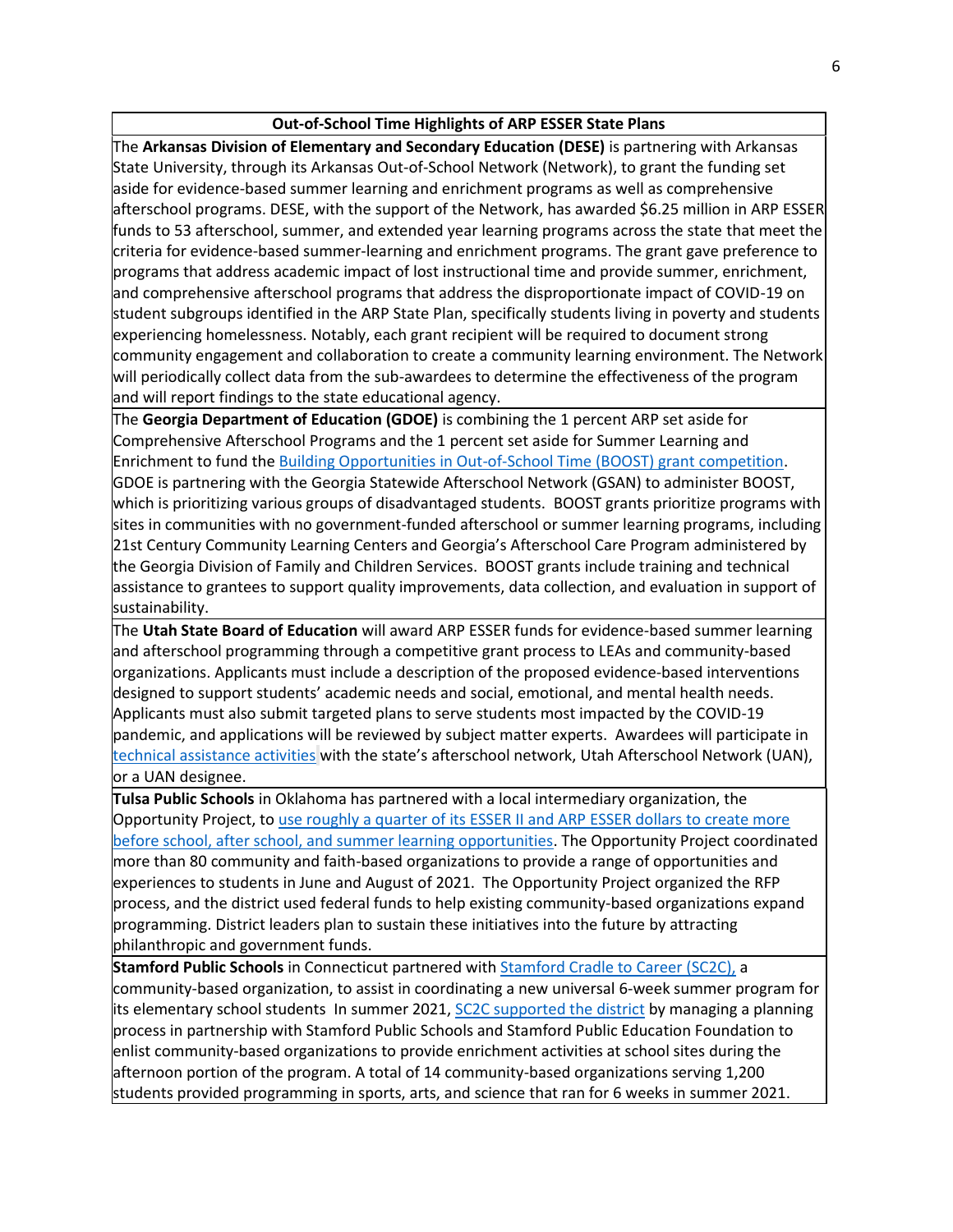#### **Out-of-School Time Highlights of ARP ESSER State Plans**

The **Arkansas Division of Elementary and Secondary Education (DESE)** is partnering with Arkansas State University, through its Arkansas Out-of-School Network (Network), to grant the funding set aside for evidence-based summer learning and enrichment programs as well as comprehensive afterschool programs. DESE, with the support of the Network, has awarded \$6.25 million in ARP ESSER funds to 53 afterschool, summer, and extended year learning programs across the state that meet the criteria for evidence-based summer-learning and enrichment programs. The grant gave preference to programs that address academic impact of lost instructional time and provide summer, enrichment, and comprehensive afterschool programs that address the disproportionate impact of COVID-19 on student subgroups identified in the ARP State Plan, specifically students living in poverty and students experiencing homelessness. Notably, each grant recipient will be required to document strong community engagement and collaboration to create a community learning environment. The Network will periodically collect data from the sub-awardees to determine the effectiveness of the program and will report findings to the state educational agency.

The **Georgia Department of Education (GDOE)** is combining the 1 percent ARP set aside for Comprehensive Afterschool Programs and the 1 percent set aside for Summer Learning and Enrichment to fund the [Building Opportunities in Out-of-School Time \(BOOST\) grant competition.](https://www.afterschoolga.org/boost/) GDOE is partnering with the Georgia Statewide Afterschool Network (GSAN) to administer BOOST, which is prioritizing various groups of disadvantaged students. BOOST grants prioritize programs with sites in communities with no government-funded afterschool or summer learning programs, including 21st Century Community Learning Centers and Georgia's Afterschool Care Program administered by the Georgia Division of Family and Children Services. BOOST grants include training and technical assistance to grantees to support quality improvements, data collection, and evaluation in support of sustainability.

The **Utah State Board of Education** will award ARP ESSER funds for evidence-based summer learning and afterschool programming through a competitive grant process to LEAs and community-based organizations. Applicants must include a description of the proposed evidence-based interventions designed to support students' academic needs and social, emotional, and mental health needs. Applicants must also submit targeted plans to serve students most impacted by the COVID-19 pandemic, and applications will be reviewed by subject matter experts. Awardees will participate in [technical assistance activities](https://schools.utah.gov/file/c4272c65-2dd4-4fc8-9f4d-5acd2df283ec) with the state's afterschool network, Utah Afterschool Network (UAN), or a UAN designee.

**Tulsa Public Schools** in Oklahoma has partnered with a local intermediary organization, the Opportunity Project, to use roughly a quarter of its [ESSER II and ARP ESSER dollars](https://learningpolicyinstitute.org/product/safe-school-reopening-tulsa-brief) to create more [before school, after school, and summer learning opportunities.](https://learningpolicyinstitute.org/product/safe-school-reopening-tulsa-brief) The Opportunity Project coordinated more than 80 community and faith-based organizations to provide a range of opportunities and experiences to students in June and August of 2021. The Opportunity Project organized the RFP process, and the district used federal funds to help existing community-based organizations expand programming. District leaders plan to sustain these initiatives into the future by attracting philanthropic and government funds.

**Stamford Public Schools** in Connecticut partnered wit[h Stamford Cradle to Career \(SC2C\),](https://stamfordcradletocareer.org/) a community-based organization, to assist in coordinating a new universal 6-week summer program for its elementary school students In summer 2021[, SC2C supported the district](https://stamfordcradletocareer.org/wp-content/uploads/2021/10/SPS-2021-Summer-Enrichment-Afternoon-Summary.pdf) by managing a planning process in partnership with Stamford Public Schools and Stamford Public Education Foundation to enlist community-based organizations to provide enrichment activities at school sites during the afternoon portion of the program. A total of 14 community-based organizations serving 1,200 students provided programming in sports, arts, and science that ran for 6 weeks in summer 2021.